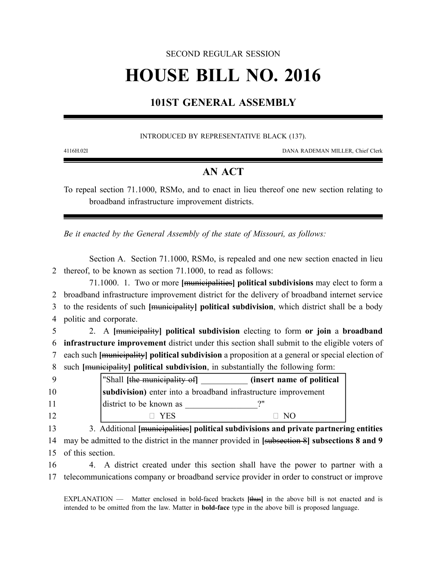#### SECOND REGULAR SESSION

# **HOUSE BILL NO. 2016**

## **101ST GENERAL ASSEMBLY**

#### INTRODUCED BY REPRESENTATIVE BLACK (137).

4116H.02I DANA RADEMAN MILLER, Chief Clerk

### **AN ACT**

To repeal section 71.1000, RSMo, and to enact in lieu thereof one new section relating to broadband infrastructure improvement districts.

*Be it enacted by the General Assembly of the state of Missouri, as follows:*

Section A. Section 71.1000, RSMo, is repealed and one new section enacted in lieu 2 thereof, to be known as section 71.1000, to read as follows:

71.1000. 1. Two or more **[**municipalities**] political subdivisions** may elect to form a broadband infrastructure improvement district for the delivery of broadband internet service to the residents of such **[**municipality**] political subdivision**, which district shall be a body politic and corporate.

 2. A **[**municipality**] political subdivision** electing to form **or join** a **broadband infrastructure improvement** district under this section shall submit to the eligible voters of each such **[**municipality**] political subdivision** a proposition at a general or special election of such **[**municipality**] political subdivision**, in substantially the following form:

|    | "Shall <i>[the municipality of]</i>                            | (insert name of political |
|----|----------------------------------------------------------------|---------------------------|
| 10 | subdivision) enter into a broadband infrastructure improvement |                           |
| 11 | district to be known as                                        | າ"                        |
| 12 | VFS                                                            | N <sub>O</sub>            |

13 3. Additional **[**municipalities**] political subdivisions and private partnering entities** 14 may be admitted to the district in the manner provided in **[**subsection 8**] subsections 8 and 9** 15 of this section.

16 4. A district created under this section shall have the power to partner with a 17 telecommunications company or broadband service provider in order to construct or improve

EXPLANATION — Matter enclosed in bold-faced brackets **[**thus**]** in the above bill is not enacted and is intended to be omitted from the law. Matter in **bold-face** type in the above bill is proposed language.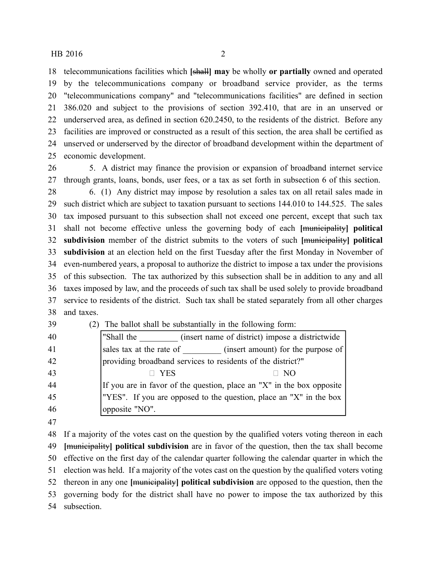telecommunications facilities which **[**shall**] may** be wholly **or partially** owned and operated by the telecommunications company or broadband service provider, as the terms "telecommunications company" and "telecommunications facilities" are defined in section 386.020 and subject to the provisions of section 392.410, that are in an unserved or underserved area, as defined in section 620.2450, to the residents of the district. Before any facilities are improved or constructed as a result of this section, the area shall be certified as unserved or underserved by the director of broadband development within the department of economic development.

 5. A district may finance the provision or expansion of broadband internet service through grants, loans, bonds, user fees, or a tax as set forth in subsection 6 of this section.

 6. (1) Any district may impose by resolution a sales tax on all retail sales made in such district which are subject to taxation pursuant to sections 144.010 to 144.525. The sales tax imposed pursuant to this subsection shall not exceed one percent, except that such tax shall not become effective unless the governing body of each **[**municipality**] political subdivision** member of the district submits to the voters of such **[**municipality**] political subdivision** at an election held on the first Tuesday after the first Monday in November of even-numbered years, a proposal to authorize the district to impose a tax under the provisions of this subsection. The tax authorized by this subsection shall be in addition to any and all taxes imposed by law, and the proceeds of such tax shall be used solely to provide broadband service to residents of the district. Such tax shall be stated separately from all other charges and taxes.

(2) The ballot shall be substantially in the following form:

| 40 | "Shall the                                                  | (insert name of district) impose a districtwide                       |
|----|-------------------------------------------------------------|-----------------------------------------------------------------------|
| 41 | sales tax at the rate of                                    | (insert amount) for the purpose of                                    |
| 42 | providing broadband services to residents of the district?" |                                                                       |
| 43 | YES                                                         | NO                                                                    |
| 44 |                                                             | If you are in favor of the question, place an "X" in the box opposite |
| 45 |                                                             | "YES". If you are opposed to the question, place an "X" in the box    |
| 46 | opposite "NO".                                              |                                                                       |

 If a majority of the votes cast on the question by the qualified voters voting thereon in each **[**municipality**] political subdivision** are in favor of the question, then the tax shall become effective on the first day of the calendar quarter following the calendar quarter in which the election was held. If a majority of the votes cast on the question by the qualified voters voting thereon in any one **[**municipality**] political subdivision** are opposed to the question, then the governing body for the district shall have no power to impose the tax authorized by this subsection.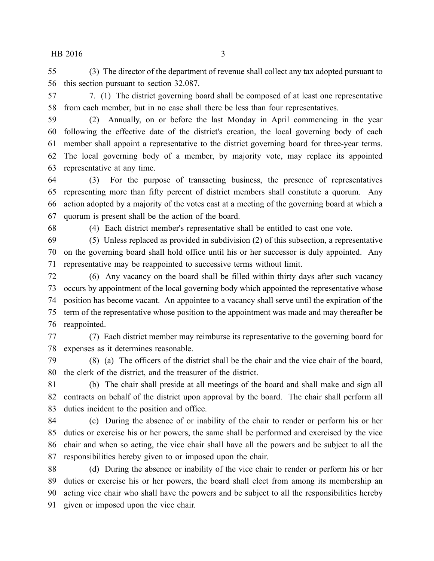#### HB 2016 3

 (3) The director of the department of revenue shall collect any tax adopted pursuant to this section pursuant to section 32.087.

 7. (1) The district governing board shall be composed of at least one representative from each member, but in no case shall there be less than four representatives.

 (2) Annually, on or before the last Monday in April commencing in the year following the effective date of the district's creation, the local governing body of each member shall appoint a representative to the district governing board for three-year terms. The local governing body of a member, by majority vote, may replace its appointed representative at any time.

 (3) For the purpose of transacting business, the presence of representatives representing more than fifty percent of district members shall constitute a quorum. Any action adopted by a majority of the votes cast at a meeting of the governing board at which a quorum is present shall be the action of the board.

(4) Each district member's representative shall be entitled to cast one vote.

 (5) Unless replaced as provided in subdivision (2) of this subsection, a representative on the governing board shall hold office until his or her successor is duly appointed. Any representative may be reappointed to successive terms without limit.

 (6) Any vacancy on the board shall be filled within thirty days after such vacancy occurs by appointment of the local governing body which appointed the representative whose position has become vacant. An appointee to a vacancy shall serve until the expiration of the term of the representative whose position to the appointment was made and may thereafter be reappointed.

 (7) Each district member may reimburse its representative to the governing board for expenses as it determines reasonable.

 (8) (a) The officers of the district shall be the chair and the vice chair of the board, the clerk of the district, and the treasurer of the district.

 (b) The chair shall preside at all meetings of the board and shall make and sign all contracts on behalf of the district upon approval by the board. The chair shall perform all duties incident to the position and office.

 (c) During the absence of or inability of the chair to render or perform his or her duties or exercise his or her powers, the same shall be performed and exercised by the vice chair and when so acting, the vice chair shall have all the powers and be subject to all the responsibilities hereby given to or imposed upon the chair.

 (d) During the absence or inability of the vice chair to render or perform his or her duties or exercise his or her powers, the board shall elect from among its membership an acting vice chair who shall have the powers and be subject to all the responsibilities hereby given or imposed upon the vice chair.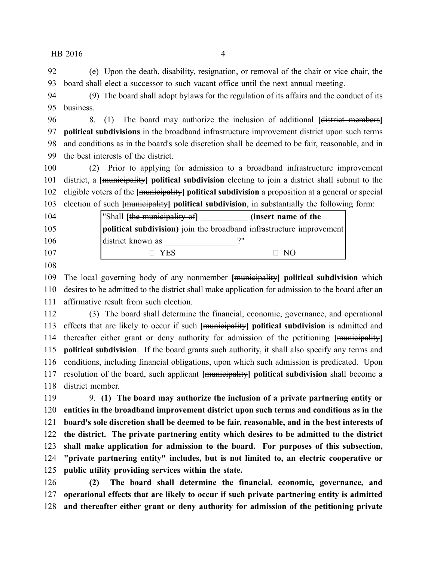(e) Upon the death, disability, resignation, or removal of the chair or vice chair, the board shall elect a successor to such vacant office until the next annual meeting.

 (9) The board shall adopt bylaws for the regulation of its affairs and the conduct of its business.

 8. (1) The board may authorize the inclusion of additional **[**district members**] political subdivisions** in the broadband infrastructure improvement district upon such terms and conditions as in the board's sole discretion shall be deemed to be fair, reasonable, and in the best interests of the district.

 (2) Prior to applying for admission to a broadband infrastructure improvement district, a **[**municipality**] political subdivision** electing to join a district shall submit to the eligible voters of the **[**municipality**] political subdivision** a proposition at a general or special election of such **[**municipality**] political subdivision**, in substantially the following form:

| political subdivision) join the broadband infrastructure improvement<br>105 |                  |
|-----------------------------------------------------------------------------|------------------|
| district known as<br>106<br>יור                                             |                  |
| 107<br><b>YES</b>                                                           | $\sim$ NO $\sim$ |

 The local governing body of any nonmember **[**municipality**] political subdivision** which desires to be admitted to the district shall make application for admission to the board after an affirmative result from such election.

 (3) The board shall determine the financial, economic, governance, and operational effects that are likely to occur if such **[**municipality**] political subdivision** is admitted and thereafter either grant or deny authority for admission of the petitioning **[**municipality**] political subdivision**. If the board grants such authority, it shall also specify any terms and conditions, including financial obligations, upon which such admission is predicated. Upon resolution of the board, such applicant **[**municipality**] political subdivision** shall become a district member.

 9. **(1) The board may authorize the inclusion of a private partnering entity or entities in the broadband improvement district upon such terms and conditions as in the board's sole discretion shall be deemed to be fair, reasonable, and in the best interests of the district. The private partnering entity which desires to be admitted to the district shall make application for admission to the board. For purposes of this subsection, "private partnering entity" includes, but is not limited to, an electric cooperative or public utility providing services within the state.**

 **(2) The board shall determine the financial, economic, governance, and operational effects that are likely to occur if such private partnering entity is admitted and thereafter either grant or deny authority for admission of the petitioning private**